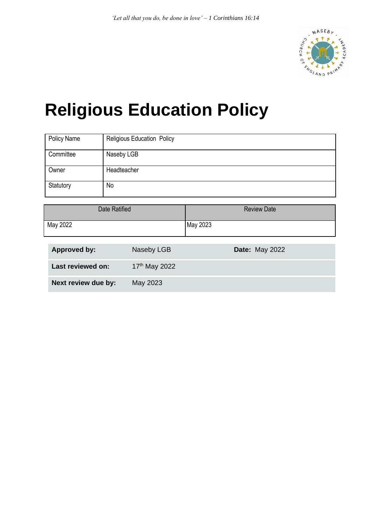

# **Religious Education Policy**

| Policy Name | <b>Religious Education Policy</b> |
|-------------|-----------------------------------|
| Committee   | Naseby LGB                        |
| Owner       | Headteacher                       |
| Statutory   | No                                |

| Date Ratified | <b>Review Date</b> |
|---------------|--------------------|
| May 2022      | May 2023           |

| <b>Approved by:</b> | Naseby LGB      | <b>Date: May 2022</b> |
|---------------------|-----------------|-----------------------|
| Last reviewed on:   | $17th$ May 2022 |                       |
| Next review due by: | May 2023        |                       |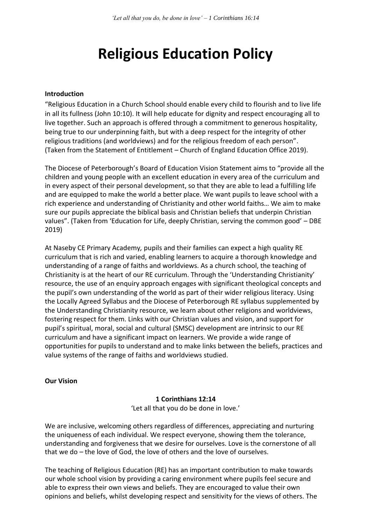# **Religious Education Policy**

#### **Introduction**

"Religious Education in a Church School should enable every child to flourish and to live life in all its fullness (John 10:10). It will help educate for dignity and respect encouraging all to live together. Such an approach is offered through a commitment to generous hospitality, being true to our underpinning faith, but with a deep respect for the integrity of other religious traditions (and worldviews) and for the religious freedom of each person". (Taken from the Statement of Entitlement – Church of England Education Office 2019).

The Diocese of Peterborough's Board of Education Vision Statement aims to "provide all the children and young people with an excellent education in every area of the curriculum and in every aspect of their personal development, so that they are able to lead a fulfilling life and are equipped to make the world a better place. We want pupils to leave school with a rich experience and understanding of Christianity and other world faiths… We aim to make sure our pupils appreciate the biblical basis and Christian beliefs that underpin Christian values". (Taken from 'Education for Life, deeply Christian, serving the common good' – DBE 2019)

At Naseby CE Primary Academy*,* pupils and their families can expect a high quality RE curriculum that is rich and varied, enabling learners to acquire a thorough knowledge and understanding of a range of faiths and worldviews. As a church school, the teaching of Christianity is at the heart of our RE curriculum. Through the 'Understanding Christianity' resource, the use of an enquiry approach engages with significant theological concepts and the pupil's own understanding of the world as part of their wider religious literacy. Using the Locally Agreed Syllabus and the Diocese of Peterborough RE syllabus supplemented by the Understanding Christianity resource, we learn about other religions and worldviews, fostering respect for them. Links with our Christian values and vision, and support for pupil's spiritual, moral, social and cultural (SMSC) development are intrinsic to our RE curriculum and have a significant impact on learners. We provide a wide range of opportunities for pupils to understand and to make links between the beliefs, practices and value systems of the range of faiths and worldviews studied.

#### **Our Vision**

#### **1 Corinthians 12:14**

'Let all that you do be done in love.'

We are inclusive, welcoming others regardless of differences, appreciating and nurturing the uniqueness of each individual. We respect everyone, showing them the tolerance, understanding and forgiveness that we desire for ourselves. Love is the cornerstone of all that we do – the love of God, the love of others and the love of ourselves.

The teaching of Religious Education (RE) has an important contribution to make towards our whole school vision by providing a caring environment where pupils feel secure and able to express their own views and beliefs. They are encouraged to value their own opinions and beliefs, whilst developing respect and sensitivity for the views of others. The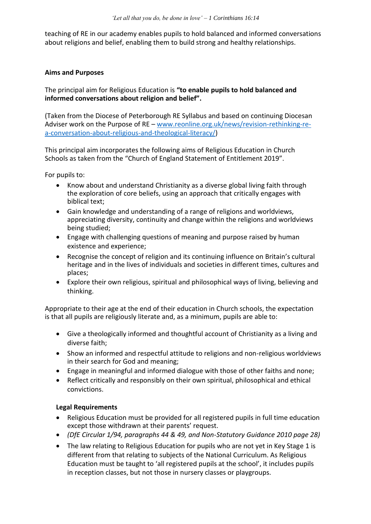teaching of RE in our academy enables pupils to hold balanced and informed conversations about religions and belief, enabling them to build strong and healthy relationships.

# **Aims and Purposes**

The principal aim for Religious Education is **"to enable pupils to hold balanced and informed conversations about religion and belief".**

(Taken from the Diocese of Peterborough RE Syllabus and based on continuing Diocesan Adviser work on the Purpose of RE – [www.reonline.org.uk/news/revision-rethinking-re](http://www.reonline.org.uk/news/revision-rethinking-re-a-conversation-about-religious-and-theological-literacy/)[a-conversation-about-religious-and-theological-literacy/\)](http://www.reonline.org.uk/news/revision-rethinking-re-a-conversation-about-religious-and-theological-literacy/)

This principal aim incorporates the following aims of Religious Education in Church Schools as taken from the "Church of England Statement of Entitlement 2019".

For pupils to:

- Know about and understand Christianity as a diverse global living faith through the exploration of core beliefs, using an approach that critically engages with biblical text;
- Gain knowledge and understanding of a range of religions and worldviews, appreciating diversity, continuity and change within the religions and worldviews being studied;
- Engage with challenging questions of meaning and purpose raised by human existence and experience;
- Recognise the concept of religion and its continuing influence on Britain's cultural heritage and in the lives of individuals and societies in different times, cultures and places;
- Explore their own religious, spiritual and philosophical ways of living, believing and thinking.

Appropriate to their age at the end of their education in Church schools, the expectation is that all pupils are religiously literate and, as a minimum, pupils are able to:

- Give a theologically informed and thoughtful account of Christianity as a living and diverse faith;
- Show an informed and respectful attitude to religions and non-religious worldviews in their search for God and meaning;
- Engage in meaningful and informed dialogue with those of other faiths and none;
- Reflect critically and responsibly on their own spiritual, philosophical and ethical convictions.

# **Legal Requirements**

- Religious Education must be provided for all registered pupils in full time education except those withdrawn at their parents' request.
- *(DfE Circular 1/94, paragraphs 44 & 49, and Non-Statutory Guidance 2010 page 28)*
- The law relating to Religious Education for pupils who are not yet in Key Stage 1 is different from that relating to subjects of the National Curriculum. As Religious Education must be taught to 'all registered pupils at the school', it includes pupils in reception classes, but not those in nursery classes or playgroups.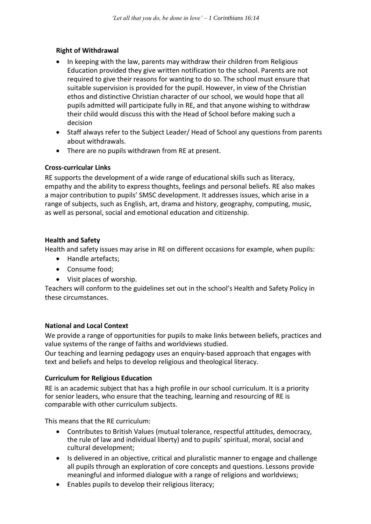# **Right of Withdrawal**

- In keeping with the law, parents may withdraw their children from Religious Education provided they give written notification to the school. Parents are not required to give their reasons for wanting to do so. The school must ensure that suitable supervision is provided for the pupil. However, in view of the Christian ethos and distinctive Christian character of our school, we would hope that all pupils admitted will participate fully in RE, and that anyone wishing to withdraw their child would discuss this with the Head of School before making such a decision
- Staff always refer to the Subject Leader/ Head of School any questions from parents about withdrawals.
- There are no pupils withdrawn from RE at present.

# **Cross-curricular Links**

RE supports the development of a wide range of educational skills such as literacy, empathy and the ability to express thoughts, feelings and personal beliefs. RE also makes a major contribution to pupils' SMSC development. It addresses issues, which arise in a range of subjects, such as English, art, drama and history, geography, computing, music, as well as personal, social and emotional education and citizenship.

# **Health and Safety**

Health and safety issues may arise in RE on different occasions for example, when pupils:

- Handle artefacts;
- Consume food;
- Visit places of worship.

Teachers will conform to the guidelines set out in the school's Health and Safety Policy in these circumstances.

# **National and Local Context**

We provide a range of opportunities for pupils to make links between beliefs, practices and value systems of the range of faiths and worldviews studied.

Our teaching and learning pedagogy uses an enquiry-based approach that engages with text and beliefs and helps to develop religious and theological literacy.

# **Curriculum for Religious Education**

RE is an academic subject that has a high profile in our school curriculum. It is a priority for senior leaders, who ensure that the teaching, learning and resourcing of RE is comparable with other curriculum subjects.

This means that the RE curriculum:

- Contributes to British Values (mutual tolerance, respectful attitudes, democracy, the rule of law and individual liberty) and to pupils' spiritual, moral, social and cultural development;
- Is delivered in an objective, critical and pluralistic manner to engage and challenge all pupils through an exploration of core concepts and questions. Lessons provide meaningful and informed dialogue with a range of religions and worldviews;
- Enables pupils to develop their religious literacy;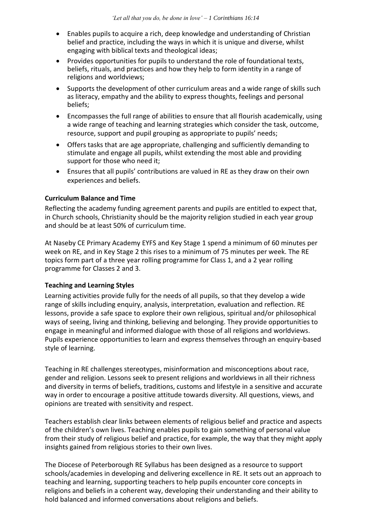- Enables pupils to acquire a rich, deep knowledge and understanding of Christian belief and practice, including the ways in which it is unique and diverse, whilst engaging with biblical texts and theological ideas;
- Provides opportunities for pupils to understand the role of foundational texts, beliefs, rituals, and practices and how they help to form identity in a range of religions and worldviews;
- Supports the development of other curriculum areas and a wide range of skills such as literacy, empathy and the ability to express thoughts, feelings and personal beliefs;
- Encompasses the full range of abilities to ensure that all flourish academically, using a wide range of teaching and learning strategies which consider the task, outcome, resource, support and pupil grouping as appropriate to pupils' needs;
- Offers tasks that are age appropriate, challenging and sufficiently demanding to stimulate and engage all pupils, whilst extending the most able and providing support for those who need it;
- Ensures that all pupils' contributions are valued in RE as they draw on their own experiences and beliefs.

#### **Curriculum Balance and Time**

Reflecting the academy funding agreement parents and pupils are entitled to expect that, in Church schools, Christianity should be the majority religion studied in each year group and should be at least 50% of curriculum time.

At Naseby CE Primary Academy EYFS and Key Stage 1 spend a minimum of 60 minutes per week on RE, and in Key Stage 2 this rises to a minimum of 75 minutes per week. The RE topics form part of a three year rolling programme for Class 1, and a 2 year rolling programme for Classes 2 and 3.

#### **Teaching and Learning Styles**

Learning activities provide fully for the needs of all pupils, so that they develop a wide range of skills including enquiry, analysis, interpretation, evaluation and reflection. RE lessons, provide a safe space to explore their own religious, spiritual and/or philosophical ways of seeing, living and thinking, believing and belonging. They provide opportunities to engage in meaningful and informed dialogue with those of all religions and worldviews. Pupils experience opportunities to learn and express themselves through an enquiry-based style of learning.

Teaching in RE challenges stereotypes, misinformation and misconceptions about race, gender and religion. Lessons seek to present religions and worldviews in all their richness and diversity in terms of beliefs, traditions, customs and lifestyle in a sensitive and accurate way in order to encourage a positive attitude towards diversity. All questions, views, and opinions are treated with sensitivity and respect.

Teachers establish clear links between elements of religious belief and practice and aspects of the children's own lives. Teaching enables pupils to gain something of personal value from their study of religious belief and practice, for example, the way that they might apply insights gained from religious stories to their own lives.

The Diocese of Peterborough RE Syllabus has been designed as a resource to support schools/academies in developing and delivering excellence in RE. It sets out an approach to teaching and learning, supporting teachers to help pupils encounter core concepts in religions and beliefs in a coherent way, developing their understanding and their ability to hold balanced and informed conversations about religions and beliefs.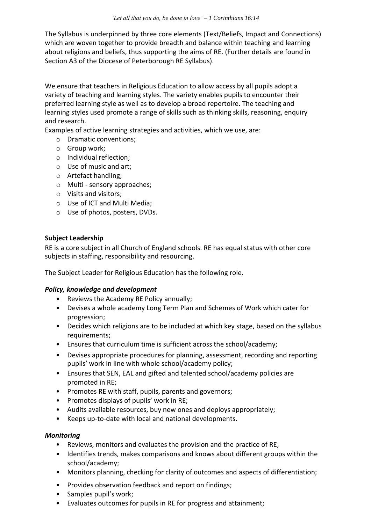The Syllabus is underpinned by three core elements (Text/Beliefs, Impact and Connections) which are woven together to provide breadth and balance within teaching and learning about religions and beliefs, thus supporting the aims of RE. (Further details are found in Section A3 of the Diocese of Peterborough RE Syllabus).

We ensure that teachers in Religious Education to allow access by all pupils adopt a variety of teaching and learning styles. The variety enables pupils to encounter their preferred learning style as well as to develop a broad repertoire. The teaching and learning styles used promote a range of skills such as thinking skills, reasoning, enquiry and research.

Examples of active learning strategies and activities, which we use, are:

- o Dramatic conventions;
- o Group work;
- o Individual reflection;
- o Use of music and art;
- o Artefact handling;
- o Multi sensory approaches;
- o Visits and visitors;
- o Use of ICT and Multi Media;
- o Use of photos, posters, DVDs.

#### **Subject Leadership**

RE is a core subject in all Church of England schools. RE has equal status with other core subjects in staffing, responsibility and resourcing.

The Subject Leader for Religious Education has the following role.

#### *Policy, knowledge and development*

- Reviews the Academy RE Policy annually;
- Devises a whole academy Long Term Plan and Schemes of Work which cater for progression;
- Decides which religions are to be included at which key stage, based on the syllabus requirements;
- Ensures that curriculum time is sufficient across the school/academy;
- Devises appropriate procedures for planning, assessment, recording and reporting pupils' work in line with whole school/academy policy;
- Ensures that SEN, EAL and gifted and talented school/academy policies are promoted in RE;
- Promotes RE with staff, pupils, parents and governors;
- Promotes displays of pupils' work in RE;
- Audits available resources, buy new ones and deploys appropriately;
- Keeps up-to-date with local and national developments.

#### *Monitoring*

- Reviews, monitors and evaluates the provision and the practice of RE;
- Identifies trends, makes comparisons and knows about different groups within the school/academy;
- Monitors planning, checking for clarity of outcomes and aspects of differentiation;
- Provides observation feedback and report on findings;
- Samples pupil's work;
- Evaluates outcomes for pupils in RE for progress and attainment;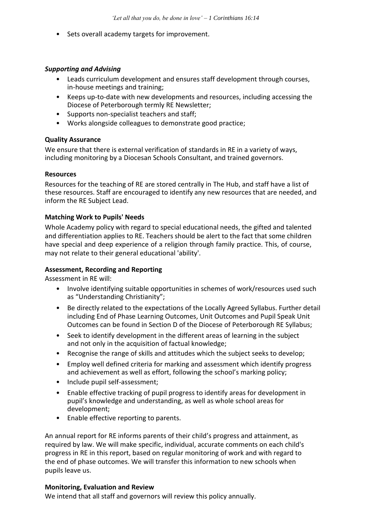• Sets overall academy targets for improvement.

#### *Supporting and Advising*

- Leads curriculum development and ensures staff development through courses, in-house meetings and training;
- Keeps up-to-date with new developments and resources, including accessing the Diocese of Peterborough termly RE Newsletter;
- Supports non-specialist teachers and staff;
- Works alongside colleagues to demonstrate good practice;

#### **Quality Assurance**

We ensure that there is external verification of standards in RE in a variety of ways, including monitoring by a Diocesan Schools Consultant, and trained governors.

#### **Resources**

Resources for the teaching of RE are stored centrally in The Hub, and staff have a list of these resources. Staff are encouraged to identify any new resources that are needed, and inform the RE Subject Lead.

#### **Matching Work to Pupils' Needs**

Whole Academy policy with regard to special educational needs, the gifted and talented and differentiation applies to RE. Teachers should be alert to the fact that some children have special and deep experience of a religion through family practice. This, of course, may not relate to their general educational 'ability'.

# **Assessment, Recording and Reporting**

Assessment in RE will:

- Involve identifying suitable opportunities in schemes of work/resources used such as "Understanding Christianity";
- Be directly related to the expectations of the Locally Agreed Syllabus. Further detail including End of Phase Learning Outcomes, Unit Outcomes and Pupil Speak Unit Outcomes can be found in Section D of the Diocese of Peterborough RE Syllabus;
- Seek to identify development in the different areas of learning in the subject and not only in the acquisition of factual knowledge;
- Recognise the range of skills and attitudes which the subject seeks to develop;
- Employ well defined criteria for marking and assessment which identify progress and achievement as well as effort, following the school's marking policy;
- Include pupil self-assessment;
- Enable effective tracking of pupil progress to identify areas for development in pupil's knowledge and understanding, as well as whole school areas for development;
- Enable effective reporting to parents.

An annual report for RE informs parents of their child's progress and attainment, as required by law. We will make specific, individual, accurate comments on each child's progress in RE in this report, based on regular monitoring of work and with regard to the end of phase outcomes. We will transfer this information to new schools when pupils leave us.

#### **Monitoring, Evaluation and Review**

We intend that all staff and governors will review this policy annually.